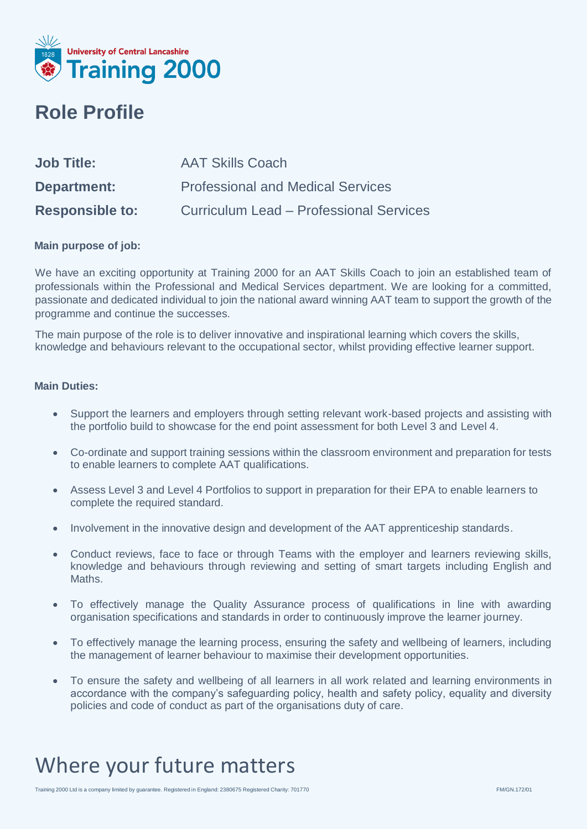

### **Role Profile**

| <b>Job Title:</b>      | <b>AAT Skills Coach</b>                        |
|------------------------|------------------------------------------------|
| Department:            | <b>Professional and Medical Services</b>       |
| <b>Responsible to:</b> | <b>Curriculum Lead - Professional Services</b> |

#### **Main purpose of job:**

We have an exciting opportunity at Training 2000 for an AAT Skills Coach to join an established team of professionals within the Professional and Medical Services department. We are looking for a committed, passionate and dedicated individual to join the national award winning AAT team to support the growth of the programme and continue the successes.

The main purpose of the role is to deliver innovative and inspirational learning which covers the skills, knowledge and behaviours relevant to the occupational sector, whilst providing effective learner support.

#### **Main Duties:**

- Support the learners and employers through setting relevant work-based projects and assisting with the portfolio build to showcase for the end point assessment for both Level 3 and Level 4.
- Co-ordinate and support training sessions within the classroom environment and preparation for tests to enable learners to complete AAT qualifications.
- Assess Level 3 and Level 4 Portfolios to support in preparation for their EPA to enable learners to complete the required standard.
- Involvement in the innovative design and development of the AAT apprenticeship standards.
- Conduct reviews, face to face or through Teams with the employer and learners reviewing skills, knowledge and behaviours through reviewing and setting of smart targets including English and Maths.
- To effectively manage the Quality Assurance process of qualifications in line with awarding organisation specifications and standards in order to continuously improve the learner journey.
- To effectively manage the learning process, ensuring the safety and wellbeing of learners, including the management of learner behaviour to maximise their development opportunities.
- To ensure the safety and wellbeing of all learners in all work related and learning environments in accordance with the company's safeguarding policy, health and safety policy, equality and diversity policies and code of conduct as part of the organisations duty of care.

## Where your future matters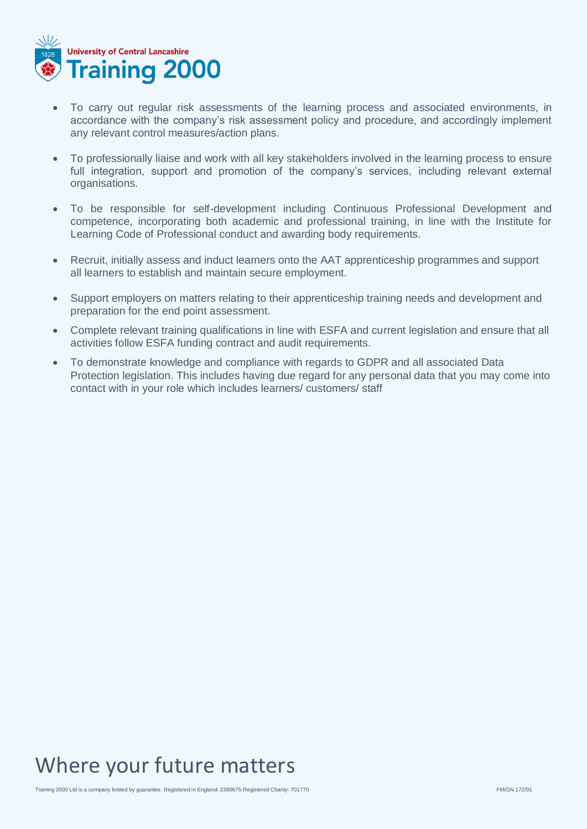

- To carry out regular risk assessments of the learning process and associated environments, in accordance with the company's risk assessment policy and procedure, and accordingly implement any relevant control measures/action plans.
- To professionally liaise and work with all key stakeholders involved in the learning process to ensure full integration, support and promotion of the company's services, including relevant external organisations.
- To be responsible for self-development including Continuous Professional Development and competence, incorporating both academic and professional training, in line with the Institute for Learning Code of Professional conduct and awarding body requirements.
- Recruit, initially assess and induct learners onto the AAT apprenticeship programmes and support all learners to establish and maintain secure employment.
- Support employers on matters relating to their apprenticeship training needs and development and preparation for the end point assessment.
- Complete relevant training qualifications in line with ESFA and current legislation and ensure that all activities follow ESFA funding contract and audit requirements.
- To demonstrate knowledge and compliance with regards to GDPR and all associated Data Protection legislation. This includes having due regard for any personal data that you may come into contact with in your role which includes learners/ customers/ staff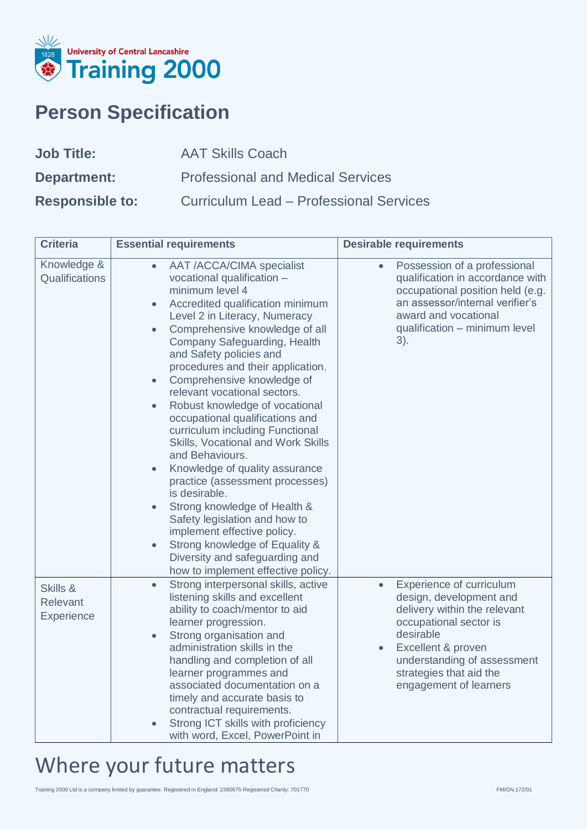

## **Person Specification**

| <b>Job Title:</b>      | <b>AAT Skills Coach</b>                        |
|------------------------|------------------------------------------------|
| Department:            | <b>Professional and Medical Services</b>       |
| <b>Responsible to:</b> | <b>Curriculum Lead - Professional Services</b> |

| <b>Criteria</b>                    | <b>Essential requirements</b>                                                                                                                                                                                                                                                                                                                                                                                                                                                                                                                                                                                                                                                                                                                                                                                                                                                                                      | <b>Desirable requirements</b>                                                                                                                                                                                                                                  |
|------------------------------------|--------------------------------------------------------------------------------------------------------------------------------------------------------------------------------------------------------------------------------------------------------------------------------------------------------------------------------------------------------------------------------------------------------------------------------------------------------------------------------------------------------------------------------------------------------------------------------------------------------------------------------------------------------------------------------------------------------------------------------------------------------------------------------------------------------------------------------------------------------------------------------------------------------------------|----------------------------------------------------------------------------------------------------------------------------------------------------------------------------------------------------------------------------------------------------------------|
| Knowledge &<br>Qualifications      | <b>AAT /ACCA/CIMA specialist</b><br>$\bullet$<br>vocational qualification -<br>minimum level 4<br>Accredited qualification minimum<br>$\bullet$<br>Level 2 in Literacy, Numeracy<br>Comprehensive knowledge of all<br>$\bullet$<br>Company Safeguarding, Health<br>and Safety policies and<br>procedures and their application.<br>Comprehensive knowledge of<br>$\bullet$<br>relevant vocational sectors.<br>Robust knowledge of vocational<br>$\bullet$<br>occupational qualifications and<br>curriculum including Functional<br>Skills, Vocational and Work Skills<br>and Behaviours.<br>Knowledge of quality assurance<br>$\bullet$<br>practice (assessment processes)<br>is desirable.<br>Strong knowledge of Health &<br>Safety legislation and how to<br>implement effective policy.<br>Strong knowledge of Equality &<br>$\bullet$<br>Diversity and safeguarding and<br>how to implement effective policy. | Possession of a professional<br>$\bullet$<br>qualification in accordance with<br>occupational position held (e.g.<br>an assessor/internal verifier's<br>award and vocational<br>qualification - minimum level<br>3).                                           |
| Skills &<br>Relevant<br>Experience | Strong interpersonal skills, active<br>$\bullet$<br>listening skills and excellent<br>ability to coach/mentor to aid<br>learner progression.<br>Strong organisation and<br>$\bullet$<br>administration skills in the<br>handling and completion of all<br>learner programmes and<br>associated documentation on a<br>timely and accurate basis to<br>contractual requirements.<br>Strong ICT skills with proficiency<br>with word, Excel, PowerPoint in                                                                                                                                                                                                                                                                                                                                                                                                                                                            | Experience of curriculum<br>$\bullet$<br>design, development and<br>delivery within the relevant<br>occupational sector is<br>desirable<br>Excellent & proven<br>$\bullet$<br>understanding of assessment<br>strategies that aid the<br>engagement of learners |

# Where your future matters